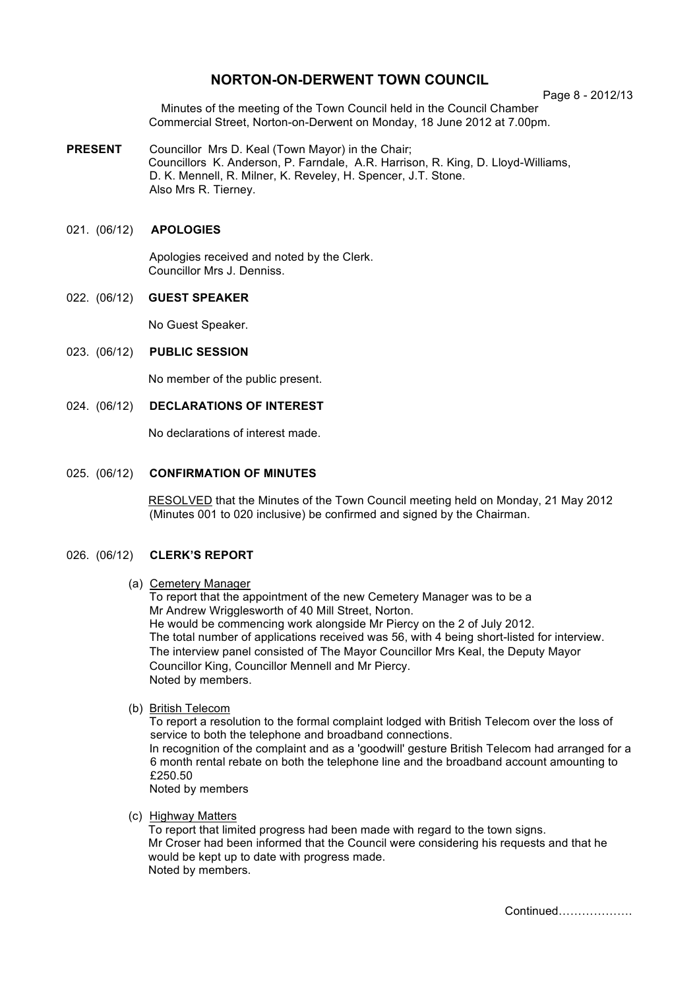# **NORTON-ON-DERWENT TOWN COUNCIL**

Page 8 - 2012/13

Minutes of the meeting of the Town Council held in the Council Chamber Commercial Street, Norton-on-Derwent on Monday, 18 June 2012 at 7.00pm.

**PRESENT** Councillor Mrs D. Keal (Town Mayor) in the Chair; Councillors K. Anderson, P. Farndale, A.R. Harrison, R. King, D. Lloyd-Williams, D. K. Mennell, R. Milner, K. Reveley, H. Spencer, J.T. Stone. Also Mrs R. Tierney.

# 021. (06/12) **APOLOGIES**

 Apologies received and noted by the Clerk. Councillor Mrs J. Denniss.

#### 022. (06/12) **GUEST SPEAKER**

No Guest Speaker.

#### 023. (06/12) **PUBLIC SESSION**

No member of the public present.

# 024. (06/12) **DECLARATIONS OF INTEREST**

No declarations of interest made.

### 025. (06/12) **CONFIRMATION OF MINUTES**

 RESOLVED that the Minutes of the Town Council meeting held on Monday, 21 May 2012 (Minutes 001 to 020 inclusive) be confirmed and signed by the Chairman.

#### 026. (06/12) **CLERK'S REPORT**

#### (a) Cemetery Manager

To report that the appointment of the new Cemetery Manager was to be a Mr Andrew Wrigglesworth of 40 Mill Street, Norton. He would be commencing work alongside Mr Piercy on the 2 of July 2012. The total number of applications received was 56, with 4 being short-listed for interview. The interview panel consisted of The Mayor Councillor Mrs Keal, the Deputy Mayor Councillor King, Councillor Mennell and Mr Piercy. Noted by members.

#### (b) British Telecom

To report a resolution to the formal complaint lodged with British Telecom over the loss of service to both the telephone and broadband connections. In recognition of the complaint and as a 'goodwill' gesture British Telecom had arranged for a 6 month rental rebate on both the telephone line and the broadband account amounting to £250.50

Noted by members

# (c) Highway Matters

To report that limited progress had been made with regard to the town signs. Mr Croser had been informed that the Council were considering his requests and that he would be kept up to date with progress made. Noted by members.

Continued……………….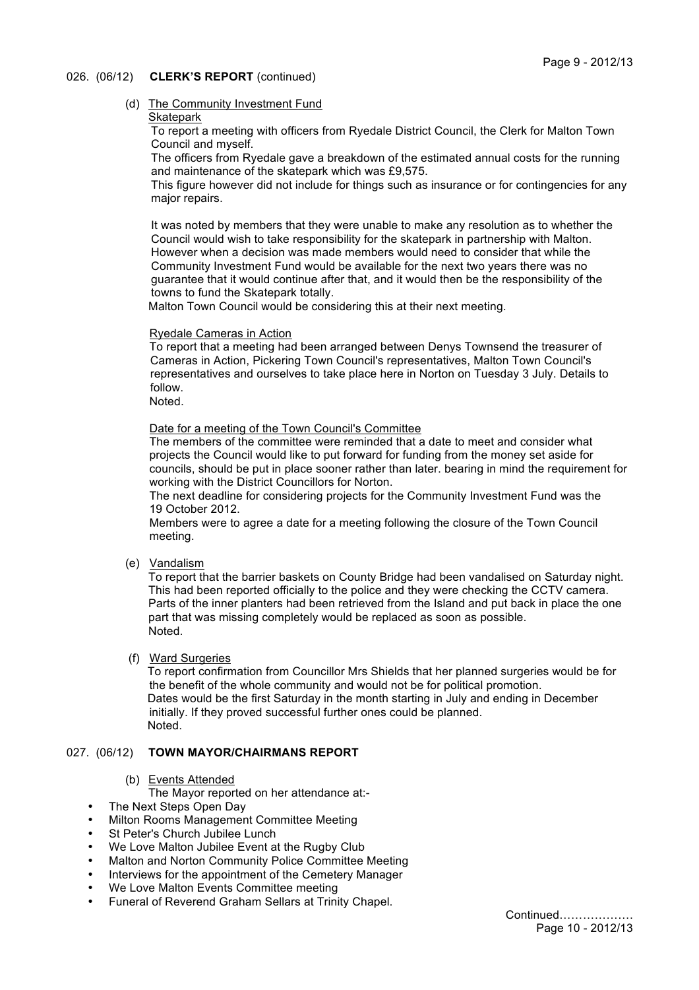# Page 9 - 2012/13

# 026. (06/12) **CLERK'S REPORT** (continued)

# (d) The Community Investment Fund

# **Skatepark**

To report a meeting with officers from Ryedale District Council, the Clerk for Malton Town Council and myself.

The officers from Ryedale gave a breakdown of the estimated annual costs for the running and maintenance of the skatepark which was £9,575.

This figure however did not include for things such as insurance or for contingencies for any major repairs.

It was noted by members that they were unable to make any resolution as to whether the Council would wish to take responsibility for the skatepark in partnership with Malton. However when a decision was made members would need to consider that while the Community Investment Fund would be available for the next two years there was no guarantee that it would continue after that, and it would then be the responsibility of the towns to fund the Skatepark totally.

Malton Town Council would be considering this at their next meeting.

# Ryedale Cameras in Action

To report that a meeting had been arranged between Denys Townsend the treasurer of Cameras in Action, Pickering Town Council's representatives, Malton Town Council's representatives and ourselves to take place here in Norton on Tuesday 3 July. Details to follow.

Noted.

Date for a meeting of the Town Council's Committee

The members of the committee were reminded that a date to meet and consider what projects the Council would like to put forward for funding from the money set aside for councils, should be put in place sooner rather than later. bearing in mind the requirement for working with the District Councillors for Norton.

The next deadline for considering projects for the Community Investment Fund was the 19 October 2012.

Members were to agree a date for a meeting following the closure of the Town Council meeting.

(e) Vandalism

To report that the barrier baskets on County Bridge had been vandalised on Saturday night. This had been reported officially to the police and they were checking the CCTV camera. Parts of the inner planters had been retrieved from the Island and put back in place the one part that was missing completely would be replaced as soon as possible. Noted.

#### (f) Ward Surgeries

To report confirmation from Councillor Mrs Shields that her planned surgeries would be for the benefit of the whole community and would not be for political promotion. Dates would be the first Saturday in the month starting in July and ending in December initially. If they proved successful further ones could be planned. Noted.

# 027. (06/12) **TOWN MAYOR/CHAIRMANS REPORT**

(b) Events Attended

The Mayor reported on her attendance at:-

- The Next Steps Open Day
- Milton Rooms Management Committee Meeting
- St Peter's Church Jubilee Lunch
- We Love Malton Jubilee Event at the Rugby Club
- Malton and Norton Community Police Committee Meeting<br>• Interviews for the appeintment of the Comptony Manager
- Interviews for the appointment of the Cemetery Manager
- We Love Malton Events Committee meeting
- Funeral of Reverend Graham Sellars at Trinity Chapel.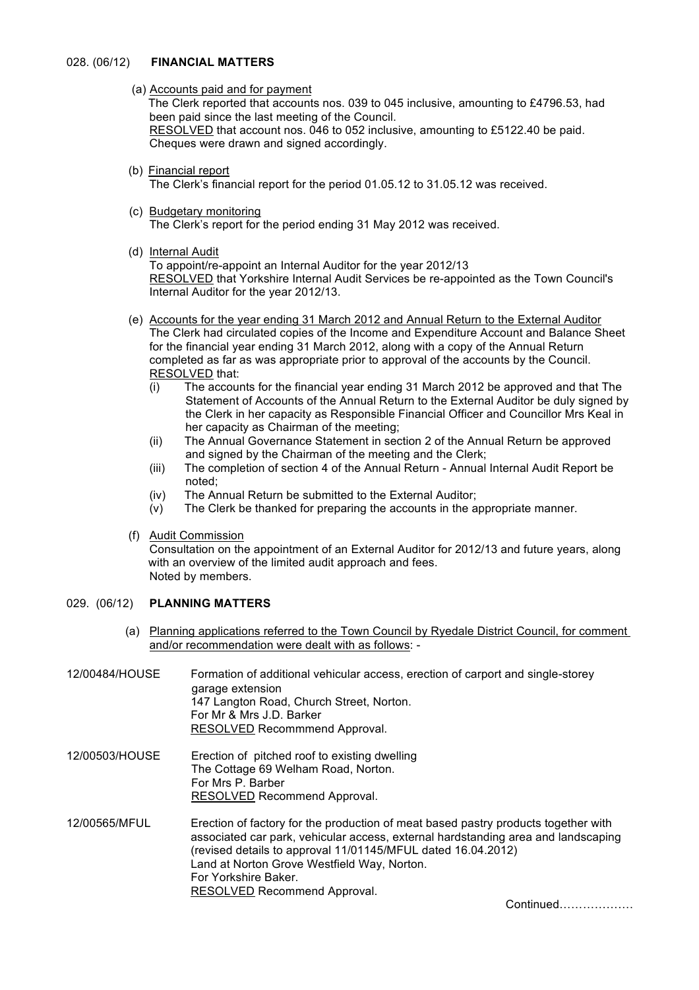## 028. (06/12) **FINANCIAL MATTERS**

(a) Accounts paid and for payment

The Clerk reported that accounts nos. 039 to 045 inclusive, amounting to £4796.53, had been paid since the last meeting of the Council. RESOLVED that account nos. 046 to 052 inclusive, amounting to £5122.40 be paid. Cheques were drawn and signed accordingly.

- (b) Financial report The Clerk's financial report for the period 01.05.12 to 31.05.12 was received.
- (c) Budgetary monitoring The Clerk's report for the period ending 31 May 2012 was received.
- (d) Internal Audit

To appoint/re-appoint an Internal Auditor for the year 2012/13 RESOLVED that Yorkshire Internal Audit Services be re-appointed as the Town Council's Internal Auditor for the year 2012/13.

- (e) Accounts for the year ending 31 March 2012 and Annual Return to the External Auditor The Clerk had circulated copies of the Income and Expenditure Account and Balance Sheet for the financial year ending 31 March 2012, along with a copy of the Annual Return completed as far as was appropriate prior to approval of the accounts by the Council. RESOLVED that:
	- (i) The accounts for the financial year ending 31 March 2012 be approved and that The Statement of Accounts of the Annual Return to the External Auditor be duly signed by the Clerk in her capacity as Responsible Financial Officer and Councillor Mrs Keal in her capacity as Chairman of the meeting;
	- (ii) The Annual Governance Statement in section 2 of the Annual Return be approved and signed by the Chairman of the meeting and the Clerk;
	- (iii) The completion of section 4 of the Annual Return Annual Internal Audit Report be noted;
	- (iv) The Annual Return be submitted to the External Auditor;
	- (v) The Clerk be thanked for preparing the accounts in the appropriate manner.
- (f) Audit Commission

Consultation on the appointment of an External Auditor for 2012/13 and future years, along with an overview of the limited audit approach and fees. Noted by members.

# 029. (06/12) **PLANNING MATTERS**

 (a) Planning applications referred to the Town Council by Ryedale District Council, for comment and/or recommendation were dealt with as follows: -

12/00484/HOUSE Formation of additional vehicular access, erection of carport and single-storey garage extension 147 Langton Road, Church Street, Norton. For Mr & Mrs J.D. Barker RESOLVED Recommmend Approval.

- 12/00503/HOUSE Erection of pitched roof to existing dwelling The Cottage 69 Welham Road, Norton. For Mrs P. Barber RESOLVED Recommend Approval.
- 12/00565/MFUL Erection of factory for the production of meat based pastry products together with associated car park, vehicular access, external hardstanding area and landscaping (revised details to approval 11/01145/MFUL dated 16.04.2012) Land at Norton Grove Westfield Way, Norton. For Yorkshire Baker. RESOLVED Recommend Approval.

Continued……………….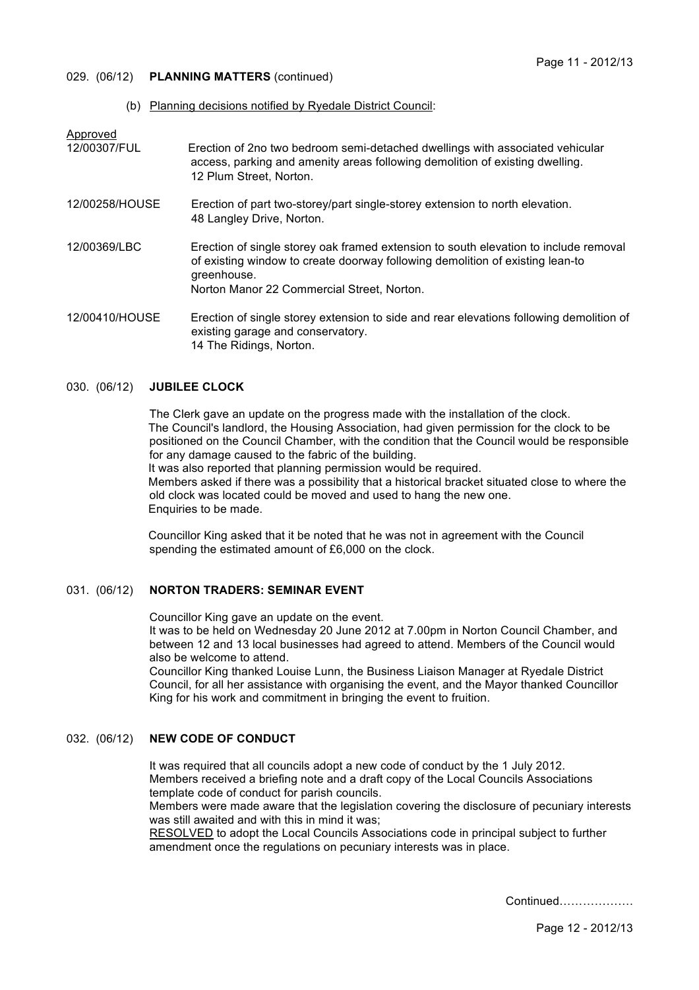## 029. (06/12) **PLANNING MATTERS** (continued)

(b) Planning decisions notified by Ryedale District Council:

Approved

12/00307/FUL Erection of 2no two bedroom semi-detached dwellings with associated vehicular access, parking and amenity areas following demolition of existing dwelling. 12 Plum Street, Norton.

- 12/00258/HOUSE Erection of part two-storey/part single-storey extension to north elevation. 48 Langley Drive, Norton.
- 12/00369/LBC Erection of single storey oak framed extension to south elevation to include removal of existing window to create doorway following demolition of existing lean-to greenhouse. Norton Manor 22 Commercial Street, Norton.

12/00410/HOUSE Erection of single storey extension to side and rear elevations following demolition of existing garage and conservatory. 14 The Ridings, Norton.

# 030. (06/12) **JUBILEE CLOCK**

The Clerk gave an update on the progress made with the installation of the clock. The Council's landlord, the Housing Association, had given permission for the clock to be positioned on the Council Chamber, with the condition that the Council would be responsible for any damage caused to the fabric of the building. It was also reported that planning permission would be required. Members asked if there was a possibility that a historical bracket situated close to where the old clock was located could be moved and used to hang the new one. Enquiries to be made.

Councillor King asked that it be noted that he was not in agreement with the Council spending the estimated amount of £6,000 on the clock.

## 031. (06/12) **NORTON TRADERS: SEMINAR EVENT**

Councillor King gave an update on the event.

It was to be held on Wednesday 20 June 2012 at 7.00pm in Norton Council Chamber, and between 12 and 13 local businesses had agreed to attend. Members of the Council would also be welcome to attend.

Councillor King thanked Louise Lunn, the Business Liaison Manager at Ryedale District Council, for all her assistance with organising the event, and the Mayor thanked Councillor King for his work and commitment in bringing the event to fruition.

# 032. (06/12) **NEW CODE OF CONDUCT**

It was required that all councils adopt a new code of conduct by the 1 July 2012. Members received a briefing note and a draft copy of the Local Councils Associations template code of conduct for parish councils.

Members were made aware that the legislation covering the disclosure of pecuniary interests was still awaited and with this in mind it was:

RESOLVED to adopt the Local Councils Associations code in principal subject to further amendment once the regulations on pecuniary interests was in place.

Continued……………….